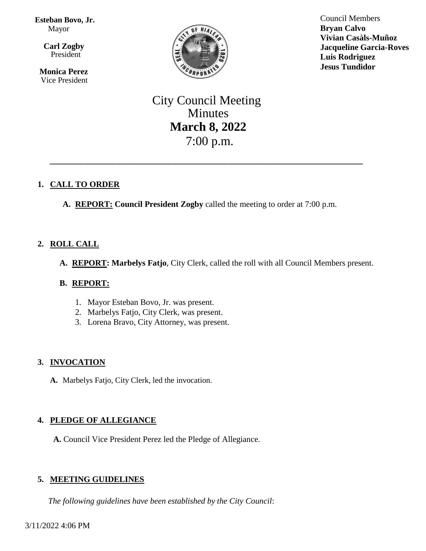**Esteban Bovo, Jr.**  Mayor

 $\overline{\mathbf{a}}$  **Carl Zogby** President

> **Monica Perez** Vice President



Council Members **Bryan Calvo Vivian Casàls-Muñoz Jacqueline Garcia-Roves Luis Rodriguez Jesus Tundidor**

# City Council Meeting Minutes **March 8, 2022** 7:00 p.m.

\_\_\_\_\_\_\_\_\_\_\_\_\_\_\_\_\_\_\_\_\_\_\_\_\_\_\_\_\_\_\_\_\_\_\_\_\_\_\_\_\_\_\_\_\_\_\_\_\_\_

# **1. CALL TO ORDER**

**A. REPORT: Council President Zogby** called the meeting to order at 7:00 p.m.

# **2. ROLL CALL**

**A. REPORT: Marbelys Fatjo**, City Clerk, called the roll with all Council Members present.

## **B. REPORT:**

- 1. Mayor Esteban Bovo, Jr. was present.
- 2. Marbelys Fatjo, City Clerk, was present.
- 3. Lorena Bravo, City Attorney, was present.

## **3. INVOCATION**

**A.** Marbelys Fatjo, City Clerk, led the invocation.

## **4. PLEDGE OF ALLEGIANCE**

**A.** Council Vice President Perez led the Pledge of Allegiance.

## **5. MEETING GUIDELINES**

*The following guidelines have been established by the City Council*: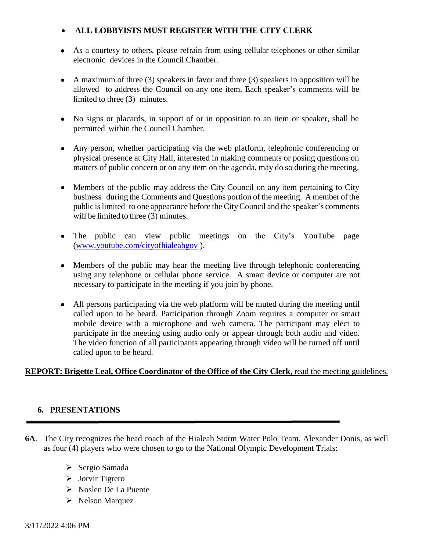# **ALL LOBBYISTS MUST REGISTER WITH THE CITY CLERK**

- As a courtesy to others, please refrain from using cellular telephones or other similar electronic devices in the Council Chamber.
- A maximum of three  $(3)$  speakers in favor and three  $(3)$  speakers in opposition will be allowed to address the Council on any one item. Each speaker's comments will be limited to three (3) minutes.
- No signs or placards, in support of or in opposition to an item or speaker, shall be permitted within the Council Chamber.
- Any person, whether participating via the web platform, telephonic conferencing or physical presence at City Hall, interested in making comments or posing questions on matters of public concern or on any item on the agenda, may do so during the meeting.
- Members of the public may address the City Council on any item pertaining to City business during the Comments and Questions portion of the meeting. A member of the public islimited to one appearance before the CityCouncil and the speaker's comments will be limited to three (3) minutes.
- The public can view public meetings on the City's YouTube page [\(www.youtube.com/cityofhialeahgov](http://www.youtube.com/cityofhialeahgov) ).
- Members of the public may hear the meeting live through telephonic conferencing using any telephone or cellular phone service. A smart device or computer are not necessary to participate in the meeting if you join by phone.
- All persons participating via the web platform will be muted during the meeting until called upon to be heard. Participation through Zoom requires a computer or smart mobile device with a microphone and web camera. The participant may elect to participate in the meeting using audio only or appear through both audio and video. The video function of all participants appearing through video will be turned off until called upon to be heard.

# **REPORT: Brigette Leal, Office Coordinator of the Office of the City Clerk,** read the meeting guidelines.

## **6. PRESENTATIONS**

- **6A**. The City recognizes the head coach of the Hialeah Storm Water Polo Team, Alexander Donis, as well as four (4) players who were chosen to go to the National Olympic Development Trials:
	- > Sergio Samada
	- $\triangleright$  Jorvir Tigrero
	- Noslen De La Puente
	- $\triangleright$  Nelson Marquez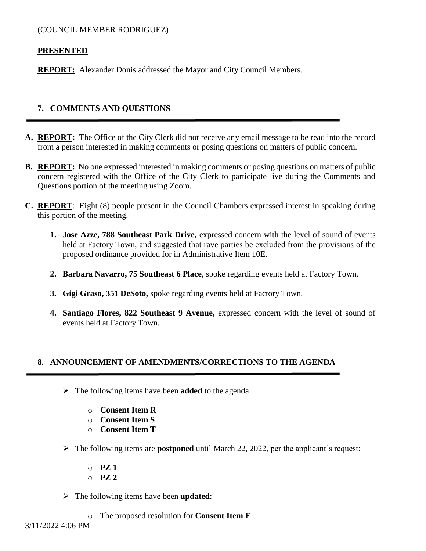#### (COUNCIL MEMBER RODRIGUEZ)

#### **PRESENTED**

**REPORT:** Alexander Donis addressed the Mayor and City Council Members.

#### **7. COMMENTS AND QUESTIONS**

- **A. REPORT:** The Office of the City Clerk did not receive any email message to be read into the record from a person interested in making comments or posing questions on matters of public concern.
- **B. REPORT:** No one expressed interested in making comments or posing questions on matters of public concern registered with the Office of the City Clerk to participate live during the Comments and Questions portion of the meeting using Zoom.
- **C. REPORT**: Eight (8) people present in the Council Chambers expressed interest in speaking during this portion of the meeting.
	- **1. Jose Azze, 788 Southeast Park Drive,** expressed concern with the level of sound of events held at Factory Town, and suggested that rave parties be excluded from the provisions of the proposed ordinance provided for in Administrative Item 10E.
	- **2. Barbara Navarro, 75 Southeast 6 Place**, spoke regarding events held at Factory Town.
	- **3. Gigi Graso, 351 DeSoto,** spoke regarding events held at Factory Town.
	- **4. Santiago Flores, 822 Southeast 9 Avenue,** expressed concern with the level of sound of events held at Factory Town.

## **8. ANNOUNCEMENT OF AMENDMENTS/CORRECTIONS TO THE AGENDA**

- The following items have been **added** to the agenda:
	- o **Consent Item R**
	- o **Consent Item S**
	- o **Consent Item T**
- The following items are **postponed** until March 22, 2022, per the applicant's request:
	- o **PZ 1**
	- o **PZ 2**
- The following items have been **updated**:
	- o The proposed resolution for **Consent Item E**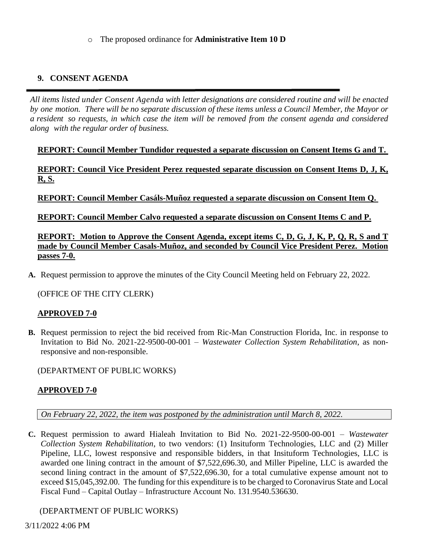#### o The proposed ordinance for **Administrative Item 10 D**

## **9. CONSENT AGENDA**

*All items listed under Consent Agenda with letter designations are considered routine and will be enacted* by one motion. There will be no separate discussion of these items unless a Council Member, the Mayor or a resident so requests, in which case the item will be removed from the consent agenda and considered *along with the regular order of business.*

**REPORT: Council Member Tundidor requested a separate discussion on Consent Items G and T.** 

**REPORT: Council Vice President Perez requested separate discussion on Consent Items D, J, K, R, S.**

**REPORT: Council Member Casáls-Muñoz requested a separate discussion on Consent Item Q.**

**REPORT: Council Member Calvo requested a separate discussion on Consent Items C and P.**

**REPORT: Motion to Approve the Consent Agenda, except items C, D, G, J, K, P, Q, R, S and T made by Council Member Casals-Muñoz, and seconded by Council Vice President Perez. Motion passes 7-0.**

**A.** Request permission to approve the minutes of the City Council Meeting held on February 22, 2022.

(OFFICE OF THE CITY CLERK)

## **APPROVED 7-0**

**B.** Request permission to reject the bid received from Ric-Man Construction Florida, Inc. in response to Invitation to Bid No. 2021-22-9500-00-001 – *Wastewater Collection System Rehabilitation*, as nonresponsive and non-responsible.

(DEPARTMENT OF PUBLIC WORKS)

## **APPROVED 7-0**

*On February 22, 2022, the item was postponed by the administration until March 8, 2022.* 

**C.** Request permission to award Hialeah Invitation to Bid No. 2021-22-9500-00-001 – *Wastewater Collection System Rehabilitation*, to two vendors: (1) Insituform Technologies, LLC and (2) Miller Pipeline, LLC, lowest responsive and responsible bidders, in that Insituform Technologies, LLC is awarded one lining contract in the amount of \$7,522,696.30, and Miller Pipeline, LLC is awarded the second lining contract in the amount of \$7,522,696.30, for a total cumulative expense amount not to exceed \$15,045,392.00. The funding for this expenditure is to be charged to Coronavirus State and Local Fiscal Fund – Capital Outlay – Infrastructure Account No. 131.9540.536630.

(DEPARTMENT OF PUBLIC WORKS)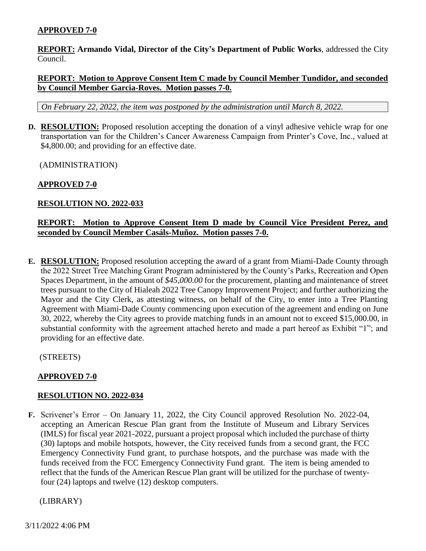## **APPROVED 7-0**

**REPORT: Armando Vidal, Director of the City's Department of Public Works**, addressed the City Council.

#### **REPORT: Motion to Approve Consent Item C made by Council Member Tundidor, and seconded by Council Member Garcia-Roves. Motion passes 7-0.**

*On February 22, 2022, the item was postponed by the administration until March 8, 2022.* 

**D. RESOLUTION:** Proposed resolution accepting the donation of a vinyl adhesive vehicle wrap for one transportation van for the Children's Cancer Awareness Campaign from Printer's Cove, Inc., valued at \$4,800.00; and providing for an effective date.

(ADMINISTRATION)

#### **APPROVED 7-0**

#### **RESOLUTION NO. 2022-033**

#### **REPORT: Motion to Approve Consent Item D made by Council Vice President Perez, and seconded by Council Member Casáls-Muñoz. Motion passes 7-0.**

**E. RESOLUTION:** Proposed resolution accepting the award of a grant from Miami-Dade County through the 2022 Street Tree Matching Grant Program administered by the County's Parks, Recreation and Open Spaces Department, in the amount of *\$45,000.00* for the procurement, planting and maintenance of street trees pursuant to the City of Hialeah 2022 Tree Canopy Improvement Project; and further authorizing the Mayor and the City Clerk, as attesting witness, on behalf of the City, to enter into a Tree Planting Agreement with Miami-Dade County commencing upon execution of the agreement and ending on June 30, 2022, whereby the City agrees to provide matching funds in an amount not to exceed \$15,000.00, in substantial conformity with the agreement attached hereto and made a part hereof as Exhibit "1"; and providing for an effective date.

(STREETS)

## **APPROVED 7-0**

#### **RESOLUTION NO. 2022-034**

**F.** Scrivener's Error – On January 11, 2022, the City Council approved Resolution No. 2022-04, accepting an American Rescue Plan grant from the Institute of Museum and Library Services (IMLS) for fiscal year 2021-2022, pursuant a project proposal which included the purchase of thirty (30) laptops and mobile hotspots, however, the City received funds from a second grant, the FCC Emergency Connectivity Fund grant, to purchase hotspots, and the purchase was made with the funds received from the FCC Emergency Connectivity Fund grant. The item is being amended to reflect that the funds of the American Rescue Plan grant will be utilized for the purchase of twentyfour (24) laptops and twelve (12) desktop computers.

(LIBRARY)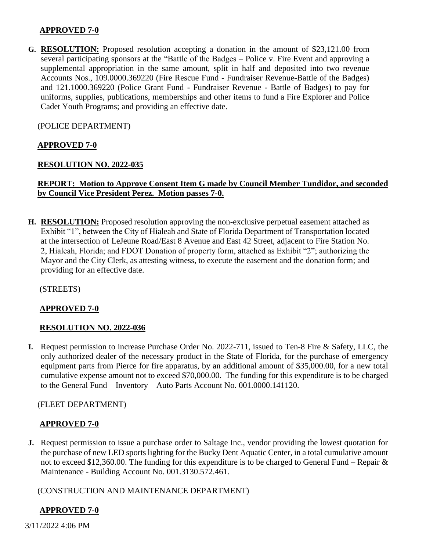#### **APPROVED 7-0**

**G. RESOLUTION:** Proposed resolution accepting a donation in the amount of \$23,121.00 from several participating sponsors at the "Battle of the Badges – Police v. Fire Event and approving a supplemental appropriation in the same amount, split in half and deposited into two revenue Accounts Nos., 109.0000.369220 (Fire Rescue Fund - Fundraiser Revenue-Battle of the Badges) and 121.1000.369220 (Police Grant Fund - Fundraiser Revenue - Battle of Badges) to pay for uniforms, supplies, publications, memberships and other items to fund a Fire Explorer and Police Cadet Youth Programs; and providing an effective date.

(POLICE DEPARTMENT)

## **APPROVED 7-0**

#### **RESOLUTION NO. 2022-035**

## **REPORT: Motion to Approve Consent Item G made by Council Member Tundidor, and seconded by Council Vice President Perez. Motion passes 7-0.**

**H. RESOLUTION:** Proposed resolution approving the non-exclusive perpetual easement attached as Exhibit "1", between the City of Hialeah and State of Florida Department of Transportation located at the intersection of LeJeune Road/East 8 Avenue and East 42 Street, adjacent to Fire Station No. 2, Hialeah, Florida; and FDOT Donation of property form, attached as Exhibit "2"; authorizing the Mayor and the City Clerk, as attesting witness, to execute the easement and the donation form; and providing for an effective date.

(STREETS)

#### **APPROVED 7-0**

#### **RESOLUTION NO. 2022-036**

**I.** Request permission to increase Purchase Order No. 2022-711, issued to Ten-8 Fire & Safety, LLC, the only authorized dealer of the necessary product in the State of Florida, for the purchase of emergency equipment parts from Pierce for fire apparatus, by an additional amount of \$35,000.00, for a new total cumulative expense amount not to exceed \$70,000.00. The funding for this expenditure is to be charged to the General Fund – Inventory – Auto Parts Account No. 001.0000.141120.

#### (FLEET DEPARTMENT)

#### **APPROVED 7-0**

**J.** Request permission to issue a purchase order to Saltage Inc., vendor providing the lowest quotation for the purchase of new LED sports lighting for the Bucky Dent Aquatic Center, in a total cumulative amount not to exceed \$12,360.00. The funding for this expenditure is to be charged to General Fund – Repair & Maintenance - Building Account No. 001.3130.572.461.

(CONSTRUCTION AND MAINTENANCE DEPARTMENT)

#### **APPROVED 7-0**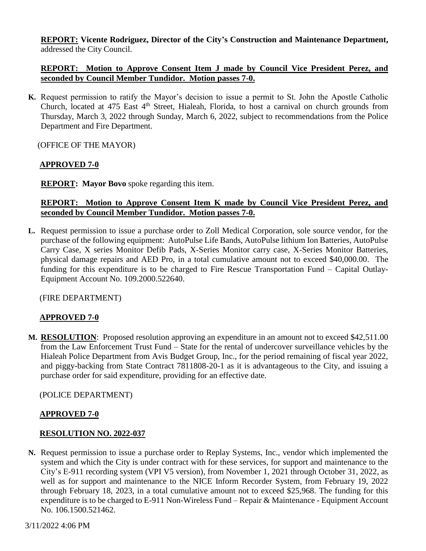**REPORT: Vicente Rodriguez, Director of the City's Construction and Maintenance Department,** addressed the City Council.

#### **REPORT: Motion to Approve Consent Item J made by Council Vice President Perez, and seconded by Council Member Tundidor. Motion passes 7-0.**

**K.** Request permission to ratify the Mayor's decision to issue a permit to St. John the Apostle Catholic Church, located at 475 East  $4<sup>th</sup>$  Street, Hialeah, Florida, to host a carnival on church grounds from Thursday, March 3, 2022 through Sunday, March 6, 2022, subject to recommendations from the Police Department and Fire Department.

(OFFICE OF THE MAYOR)

## **APPROVED 7-0**

**REPORT: Mayor Bovo** spoke regarding this item.

#### **REPORT: Motion to Approve Consent Item K made by Council Vice President Perez, and seconded by Council Member Tundidor. Motion passes 7-0.**

**L.** Request permission to issue a purchase order to Zoll Medical Corporation, sole source vendor, for the purchase of the following equipment: AutoPulse Life Bands, AutoPulse lithium Ion Batteries, AutoPulse Carry Case, X series Monitor Defib Pads, X-Series Monitor carry case, X-Series Monitor Batteries, physical damage repairs and AED Pro, in a total cumulative amount not to exceed \$40,000.00. The funding for this expenditure is to be charged to Fire Rescue Transportation Fund – Capital Outlay-Equipment Account No. 109.2000.522640.

## (FIRE DEPARTMENT)

#### **APPROVED 7-0**

**M. RESOLUTION**: Proposed resolution approving an expenditure in an amount not to exceed \$42,511.00 from the Law Enforcement Trust Fund – State for the rental of undercover surveillance vehicles by the Hialeah Police Department from Avis Budget Group, Inc., for the period remaining of fiscal year 2022, and piggy-backing from State Contract 7811808-20-1 as it is advantageous to the City, and issuing a purchase order for said expenditure, providing for an effective date.

#### (POLICE DEPARTMENT)

## **APPROVED 7-0**

#### **RESOLUTION NO. 2022-037**

**N.** Request permission to issue a purchase order to Replay Systems, Inc., vendor which implemented the system and which the City is under contract with for these services, for support and maintenance to the City's E-911 recording system (VPI V5 version), from November 1, 2021 through October 31, 2022, as well as for support and maintenance to the NICE Inform Recorder System, from February 19, 2022 through February 18, 2023, in a total cumulative amount not to exceed \$25,968. The funding for this expenditure is to be charged to E-911 Non-Wireless Fund – Repair & Maintenance - Equipment Account No. 106.1500.521462.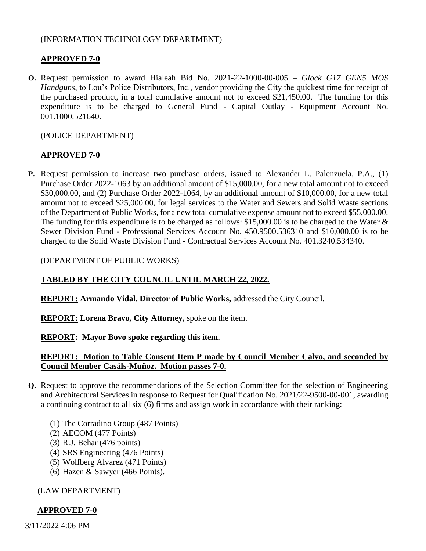#### (INFORMATION TECHNOLOGY DEPARTMENT)

#### **APPROVED 7-0**

**O.** Request permission to award Hialeah Bid No. 2021-22-1000-00-005 – *Glock G17 GEN5 MOS Handguns*, to Lou's Police Distributors, Inc., vendor providing the City the quickest time for receipt of the purchased product, in a total cumulative amount not to exceed \$21,450.00. The funding for this expenditure is to be charged to General Fund - Capital Outlay - Equipment Account No. 001.1000.521640.

#### (POLICE DEPARTMENT)

## **APPROVED 7-0**

**P.** Request permission to increase two purchase orders, issued to Alexander L. Palenzuela, P.A., (1) Purchase Order 2022-1063 by an additional amount of \$15,000.00, for a new total amount not to exceed \$30,000.00, and (2) Purchase Order 2022-1064, by an additional amount of \$10,000.00, for a new total amount not to exceed \$25,000.00, for legal services to the Water and Sewers and Solid Waste sections of the Department of Public Works, for a new total cumulative expense amount not to exceed \$55,000.00. The funding for this expenditure is to be charged as follows: \$15,000.00 is to be charged to the Water & Sewer Division Fund - Professional Services Account No. 450.9500.536310 and \$10,000.00 is to be charged to the Solid Waste Division Fund - Contractual Services Account No. 401.3240.534340.

#### (DEPARTMENT OF PUBLIC WORKS)

## **TABLED BY THE CITY COUNCIL UNTIL MARCH 22, 2022.**

**REPORT: Armando Vidal, Director of Public Works,** addressed the City Council.

**REPORT: Lorena Bravo, City Attorney,** spoke on the item.

#### **REPORT: Mayor Bovo spoke regarding this item.**

#### **REPORT: Motion to Table Consent Item P made by Council Member Calvo, and seconded by Council Member Casáls-Muñoz. Motion passes 7-0.**

- **Q.** Request to approve the recommendations of the Selection Committee for the selection of Engineering and Architectural Services in response to Request for Qualification No. 2021/22-9500-00-001, awarding a continuing contract to all six (6) firms and assign work in accordance with their ranking:
	- (1) The Corradino Group (487 Points)
	- (2) AECOM (477 Points)
	- (3) R.J. Behar (476 points)
	- (4) SRS Engineering (476 Points)
	- (5) Wolfberg Alvarez (471 Points)
	- (6) Hazen & Sawyer (466 Points).

#### (LAW DEPARTMENT)

## **APPROVED 7-0**

3/11/2022 4:06 PM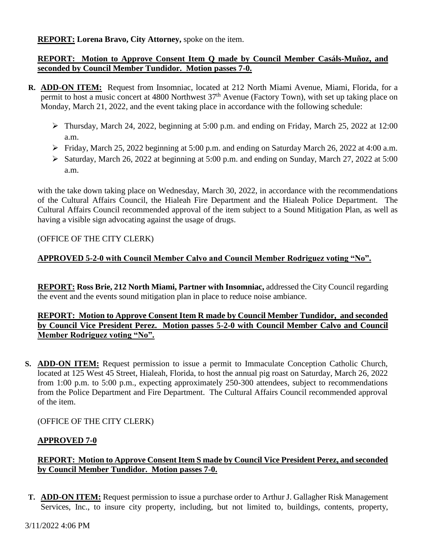## **REPORT: Lorena Bravo, City Attorney,** spoke on the item.

## **REPORT: Motion to Approve Consent Item Q made by Council Member Casáls-Muñoz, and seconded by Council Member Tundidor. Motion passes 7-0.**

- **R. ADD-ON ITEM:** Request from Insomniac, located at 212 North Miami Avenue, Miami, Florida, for a permit to host a music concert at 4800 Northwest  $37<sup>th</sup>$  Avenue (Factory Town), with set up taking place on Monday, March 21, 2022, and the event taking place in accordance with the following schedule:
	- Thursday, March 24, 2022, beginning at 5:00 p.m. and ending on Friday, March 25, 2022 at 12:00 a.m.
	- Friday, March 25, 2022 beginning at 5:00 p.m. and ending on Saturday March 26, 2022 at 4:00 a.m.
	- $\triangleright$  Saturday, March 26, 2022 at beginning at 5:00 p.m. and ending on Sunday, March 27, 2022 at 5:00 a.m.

with the take down taking place on Wednesday, March 30, 2022, in accordance with the recommendations of the Cultural Affairs Council, the Hialeah Fire Department and the Hialeah Police Department. The Cultural Affairs Council recommended approval of the item subject to a Sound Mitigation Plan, as well as having a visible sign advocating against the usage of drugs.

## (OFFICE OF THE CITY CLERK)

# **APPROVED 5-2-0 with Council Member Calvo and Council Member Rodriguez voting "No".**

**REPORT: Ross Brie, 212 North Miami, Partner with Insomniac,** addressed the City Council regarding the event and the events sound mitigation plan in place to reduce noise ambiance.

# **REPORT: Motion to Approve Consent Item R made by Council Member Tundidor, and seconded by Council Vice President Perez. Motion passes 5-2-0 with Council Member Calvo and Council Member Rodriguez voting "No".**

**S. ADD-ON ITEM:** Request permission to issue a permit to Immaculate Conception Catholic Church, located at 125 West 45 Street, Hialeah, Florida, to host the annual pig roast on Saturday, March 26, 2022 from 1:00 p.m. to 5:00 p.m., expecting approximately 250-300 attendees, subject to recommendations from the Police Department and Fire Department. The Cultural Affairs Council recommended approval of the item.

(OFFICE OF THE CITY CLERK)

## **APPROVED 7-0**

## **REPORT: Motion to Approve Consent Item S made by Council Vice President Perez, and seconded by Council Member Tundidor. Motion passes 7-0.**

**T. ADD-ON ITEM:** Request permission to issue a purchase order to Arthur J. Gallagher Risk Management Services, Inc., to insure city property, including, but not limited to, buildings, contents, property,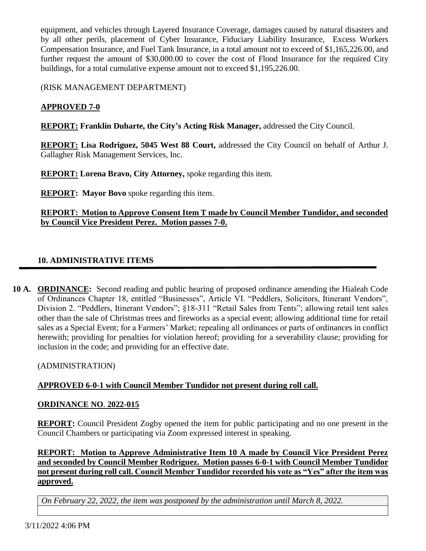equipment, and vehicles through Layered Insurance Coverage, damages caused by natural disasters and by all other perils, placement of Cyber Insurance, Fiduciary Liability Insurance, Excess Workers Compensation Insurance, and Fuel Tank Insurance, in a total amount not to exceed of \$1,165,226.00, and further request the amount of \$30,000.00 to cover the cost of Flood Insurance for the required City buildings, for a total cumulative expense amount not to exceed \$1,195,226.00.

(RISK MANAGEMENT DEPARTMENT)

## **APPROVED 7-0**

**REPORT: Franklin Duharte, the City's Acting Risk Manager,** addressed the City Council.

**REPORT: Lisa Rodriguez, 5045 West 88 Court,** addressed the City Council on behalf of Arthur J. Gallagher Risk Management Services, Inc.

**REPORT: Lorena Bravo, City Attorney,** spoke regarding this item.

**REPORT: Mayor Bovo** spoke regarding this item.

## **REPORT: Motion to Approve Consent Item T made by Council Member Tundidor, and seconded by Council Vice President Perez. Motion passes 7-0.**

## **10. ADMINISTRATIVE ITEMS**

**10 A. ORDINANCE:** Second reading and public hearing of proposed ordinance amending the Hialeah Code of Ordinances Chapter 18, entitled "Businesses", Article VI. "Peddlers, Solicitors, Itinerant Vendors", Division 2. "Peddlers, Itinerant Vendors"; §18-311 "Retail Sales from Tents"; allowing retail tent sales other than the sale of Christmas trees and fireworks as a special event; allowing additional time for retail sales as a Special Event; for a Farmers' Market; repealing all ordinances or parts of ordinances in conflict herewith; providing for penalties for violation hereof; providing for a severability clause; providing for inclusion in the code; and providing for an effective date.

(ADMINISTRATION)

## **APPROVED 6-0-1 with Council Member Tundidor not present during roll call.**

#### **ORDINANCE NO**. **2022-015**

**REPORT:** Council President Zogby opened the item for public participating and no one present in the Council Chambers or participating via Zoom expressed interest in speaking.

**REPORT: Motion to Approve Administrative Item 10 A made by Council Vice President Perez and seconded by Council Member Rodriguez. Motion passes 6-0-1 with Council Member Tundidor not present during roll call. Council Member Tundidor recorded his vote as "Yes" after the item was approved.**

*On February 22, 2022, the item was postponed by the administration until March 8, 2022.*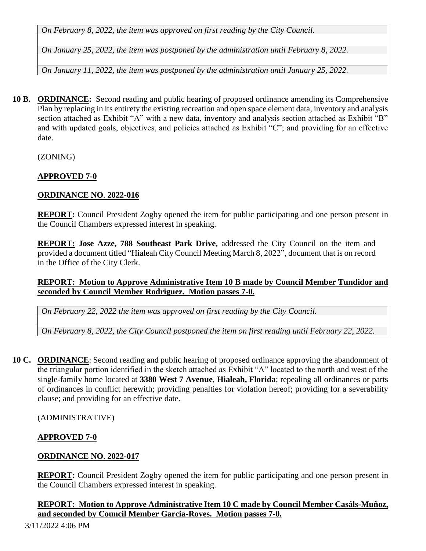*On February 8, 2022, the item was approved on first reading by the City Council.*

*On January 25, 2022, the item was postponed by the administration until February 8, 2022.*

*On January 11, 2022, the item was postponed by the administration until January 25, 2022.*

**10 B. ORDINANCE:** Second reading and public hearing of proposed ordinance amending its Comprehensive Plan by replacing in its entirety the existing recreation and open space element data, inventory and analysis section attached as Exhibit "A" with a new data, inventory and analysis section attached as Exhibit "B" and with updated goals, objectives, and policies attached as Exhibit "C"; and providing for an effective date.

(ZONING)

# **APPROVED 7-0**

# **ORDINANCE NO**. **2022-016**

**REPORT:** Council President Zogby opened the item for public participating and one person present in the Council Chambers expressed interest in speaking.

**REPORT: Jose Azze, 788 Southeast Park Drive,** addressed the City Council on the item and provided a document titled "Hialeah City Council Meeting March 8, 2022", document that is on record in the Office of the City Clerk.

# **REPORT: Motion to Approve Administrative Item 10 B made by Council Member Tundidor and seconded by Council Member Rodriguez. Motion passes 7-0.**

*On February 22, 2022 the item was approved on first reading by the City Council.*

*On February 8, 2022, the City Council postponed the item on first reading until February 22, 2022.*

**10 C. ORDINANCE**: Second reading and public hearing of proposed ordinance approving the abandonment of the triangular portion identified in the sketch attached as Exhibit "A" located to the north and west of the single-family home located at **3380 West 7 Avenue**, **Hialeah, Florida**; repealing all ordinances or parts of ordinances in conflict herewith; providing penalties for violation hereof; providing for a severability clause; and providing for an effective date.

(ADMINISTRATIVE)

# **APPROVED 7-0**

# **ORDINANCE NO**. **2022-017**

**REPORT:** Council President Zogby opened the item for public participating and one person present in the Council Chambers expressed interest in speaking.

## **REPORT: Motion to Approve Administrative Item 10 C made by Council Member Casáls-Muñoz, and seconded by Council Member Garcia-Roves. Motion passes 7-0.**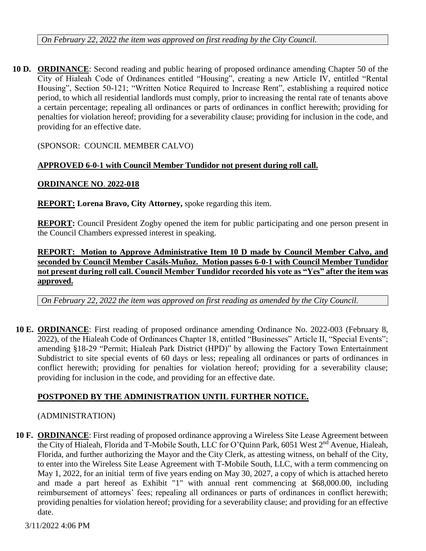*On February 22, 2022 the item was approved on first reading by the City Council.*

**10 D. ORDINANCE**: Second reading and public hearing of proposed ordinance amending Chapter 50 of the City of Hialeah Code of Ordinances entitled "Housing", creating a new Article IV, entitled "Rental Housing", Section 50-121; "Written Notice Required to Increase Rent", establishing a required notice period, to which all residential landlords must comply, prior to increasing the rental rate of tenants above a certain percentage; repealing all ordinances or parts of ordinances in conflict herewith; providing for penalties for violation hereof; providing for a severability clause; providing for inclusion in the code, and providing for an effective date.

(SPONSOR: COUNCIL MEMBER CALVO)

## **APPROVED 6-0-1 with Council Member Tundidor not present during roll call.**

## **ORDINANCE NO**. **2022-018**

**REPORT: Lorena Bravo, City Attorney,** spoke regarding this item.

**REPORT:** Council President Zogby opened the item for public participating and one person present in the Council Chambers expressed interest in speaking.

## **REPORT: Motion to Approve Administrative Item 10 D made by Council Member Calvo, and seconded by Council Member Casáls-Muñoz. Motion passes 6-0-1 with Council Member Tundidor not present during roll call. Council Member Tundidor recorded his vote as "Yes" after the item was approved.**

*On February 22, 2022 the item was approved on first reading as amended by the City Council.*

**10 E. ORDINANCE**: First reading of proposed ordinance amending Ordinance No. 2022-003 (February 8, 2022), of the Hialeah Code of Ordinances Chapter 18, entitled "Businesses" Article II, "Special Events"; amending §18-29 "Permit; Hialeah Park District (HPD)" by allowing the Factory Town Entertainment Subdistrict to site special events of 60 days or less; repealing all ordinances or parts of ordinances in conflict herewith; providing for penalties for violation hereof; providing for a severability clause; providing for inclusion in the code, and providing for an effective date.

# **POSTPONED BY THE ADMINISTRATION UNTIL FURTHER NOTICE.**

## (ADMINISTRATION)

**10 F. ORDINANCE**: First reading of proposed ordinance approving a Wireless Site Lease Agreement between the City of Hialeah, Florida and T-Mobile South, LLC for O'Quinn Park, 6051 West 2nd Avenue, Hialeah, Florida, and further authorizing the Mayor and the City Clerk, as attesting witness, on behalf of the City, to enter into the Wireless Site Lease Agreement with T-Mobile South, LLC, with a term commencing on May 1, 2022, for an initial term of five years ending on May 30, 2027, a copy of which is attached hereto and made a part hereof as Exhibit "1" with annual rent commencing at \$68,000.00, including reimbursement of attorneys' fees; repealing all ordinances or parts of ordinances in conflict herewith; providing penalties for violation hereof; providing for a severability clause; and providing for an effective date.

3/11/2022 4:06 PM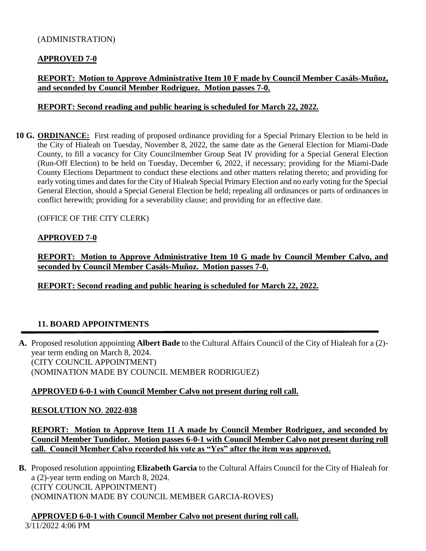#### (ADMINISTRATION)

#### **APPROVED 7-0**

## **REPORT: Motion to Approve Administrative Item 10 F made by Council Member Casáls-Muñoz, and seconded by Council Member Rodriguez. Motion passes 7-0.**

#### **REPORT: Second reading and public hearing is scheduled for March 22, 2022.**

**10 G. ORDINANCE:** First reading of proposed ordinance providing for a Special Primary Election to be held in the City of Hialeah on Tuesday, November 8, 2022, the same date as the General Election for Miami-Dade County, to fill a vacancy for City Councilmember Group Seat IV providing for a Special General Election (Run-Off Election) to be held on Tuesday, December 6, 2022, if necessary; providing for the Miami-Dade County Elections Department to conduct these elections and other matters relating thereto; and providing for early voting times and dates for the City of Hialeah Special Primary Election and no early voting for the Special General Election, should a Special General Election be held; repealing all ordinances or parts of ordinances in conflict herewith; providing for a severability clause; and providing for an effective date.

(OFFICE OF THE CITY CLERK)

#### **APPROVED 7-0**

**REPORT: Motion to Approve Administrative Item 10 G made by Council Member Calvo, and seconded by Council Member Casáls-Muñoz. Motion passes 7-0.**

**REPORT: Second reading and public hearing is scheduled for March 22, 2022.**

## **11. BOARD APPOINTMENTS**

**A.** Proposed resolution appointing **Albert Bade** to the Cultural Affairs Council of the City of Hialeah for a (2) year term ending on March 8, 2024. (CITY COUNCIL APPOINTMENT) (NOMINATION MADE BY COUNCIL MEMBER RODRIGUEZ)

#### **APPROVED 6-0-1 with Council Member Calvo not present during roll call.**

#### **RESOLUTION NO**. **2022-038**

**REPORT: Motion to Approve Item 11 A made by Council Member Rodriguez, and seconded by Council Member Tundidor. Motion passes 6-0-1 with Council Member Calvo not present during roll call. Council Member Calvo recorded his vote as "Yes" after the item was approved.**

**B.** Proposed resolution appointing **Elizabeth Garcia** to the Cultural Affairs Council for the City of Hialeah for a (2)-year term ending on March 8, 2024. (CITY COUNCIL APPOINTMENT) (NOMINATION MADE BY COUNCIL MEMBER GARCIA-ROVES)

3/11/2022 4:06 PM **APPROVED 6-0-1 with Council Member Calvo not present during roll call.**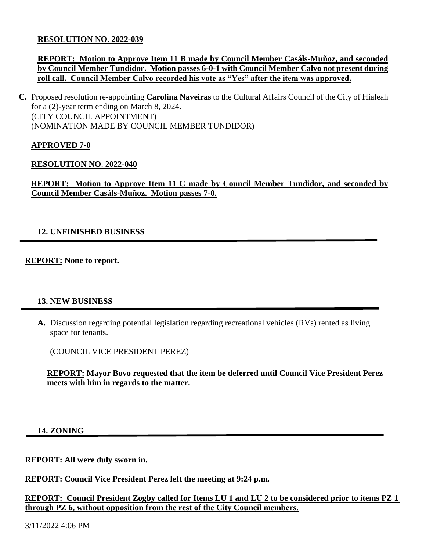#### **RESOLUTION NO**. **2022-039**

## **REPORT: Motion to Approve Item 11 B made by Council Member Casáls-Muñoz, and seconded by Council Member Tundidor. Motion passes 6-0-1 with Council Member Calvo not present during roll call. Council Member Calvo recorded his vote as "Yes" after the item was approved.**

**C.** Proposed resolution re-appointing **Carolina Naveiras** to the Cultural Affairs Council of the City of Hialeah for a (2)-year term ending on March 8, 2024. (CITY COUNCIL APPOINTMENT) (NOMINATION MADE BY COUNCIL MEMBER TUNDIDOR)

## **APPROVED 7-0**

#### **RESOLUTION NO**. **2022-040**

**REPORT: Motion to Approve Item 11 C made by Council Member Tundidor, and seconded by Council Member Casáls-Muñoz. Motion passes 7-0.**

## **12. UNFINISHED BUSINESS**

**REPORT: None to report.**

#### **13. NEW BUSINESS**

**A.** Discussion regarding potential legislation regarding recreational vehicles (RVs) rented as living space for tenants.

(COUNCIL VICE PRESIDENT PEREZ)

**REPORT: Mayor Bovo requested that the item be deferred until Council Vice President Perez meets with him in regards to the matter.**

**14. ZONING**

## **REPORT: All were duly sworn in.**

**REPORT: Council Vice President Perez left the meeting at 9:24 p.m.**

**REPORT: Council President Zogby called for Items LU 1 and LU 2 to be considered prior to items PZ 1 through PZ 6, without opposition from the rest of the City Council members.**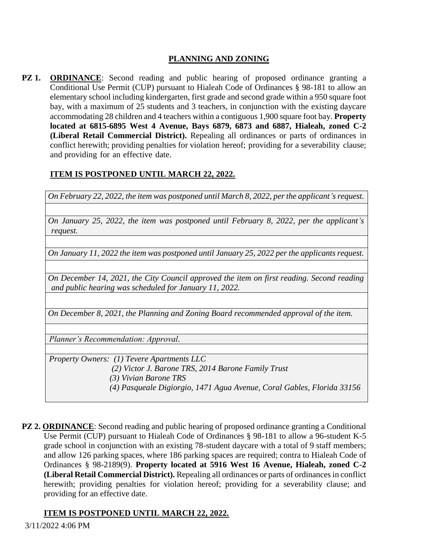# **PLANNING AND ZONING**

**PZ 1. ORDINANCE**: Second reading and public hearing of proposed ordinance granting a Conditional Use Permit (CUP) pursuant to Hialeah Code of Ordinances § 98-181 to allow an elementary school including kindergarten, first grade and second grade within a 950 square foot bay, with a maximum of 25 students and 3 teachers, in conjunction with the existing daycare accommodating 28 children and 4 teachers within a contiguous 1,900 square foot bay. **Property located at 6815-6895 West 4 Avenue, Bays 6879, 6873 and 6887, Hialeah, zoned C-2 (Liberal Retail Commercial District).** Repealing all ordinances or parts of ordinances in conflict herewith; providing penalties for violation hereof; providing for a severability clause; and providing for an effective date.

# **ITEM IS POSTPONED UNTIL MARCH 22, 2022.**

*On February 22, 2022, the item was postponed until March 8, 2022, per the applicant's request.* 

*On January 25, 2022, the item was postponed until February 8, 2022, per the applicant's request.*

*On January 11, 2022 the item was postponed until January 25, 2022 per the applicants request.*

*On December 14, 2021, the City Council approved the item on first reading. Second reading and public hearing was scheduled for January 11, 2022.*

*On December 8, 2021, the Planning and Zoning Board recommended approval of the item.*

*Planner's Recommendation: Approval.*

*Property Owners: (1) Tevere Apartments LLC*

 *(2) Victor J. Barone TRS, 2014 Barone Family Trust* 

 *(3) Vivian Barone TRS*

 *(4) Pasqueale Digiorgio, 1471 Agua Avenue, Coral Gables, Florida 33156*

**PZ 2. ORDINANCE**: Second reading and public hearing of proposed ordinance granting a Conditional Use Permit (CUP) pursuant to Hialeah Code of Ordinances § 98-181 to allow a 96-student K-5 grade school in conjunction with an existing 78-student daycare with a total of 9 staff members; and allow 126 parking spaces, where 186 parking spaces are required; contra to Hialeah Code of Ordinances § 98-2189(9). **Property located at 5916 West 16 Avenue, Hialeah, zoned C-2 (Liberal Retail Commercial District).** Repealing all ordinances or parts of ordinances in conflict herewith; providing penalties for violation hereof; providing for a severability clause; and providing for an effective date.

## **ITEM IS POSTPONED UNTIL MARCH 22, 2022.**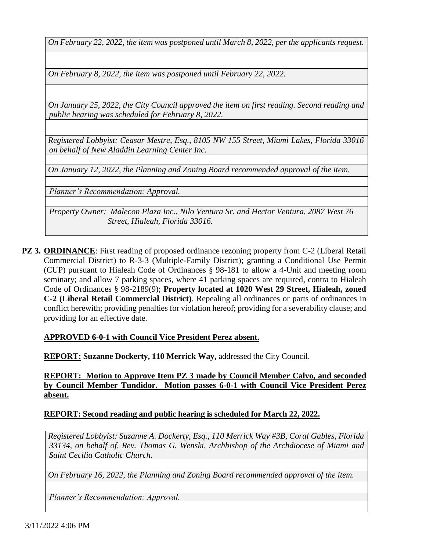*On February 22, 2022, the item was postponed until March 8, 2022, per the applicants request.*

*On February 8, 2022, the item was postponed until February 22, 2022.* 

*On January 25, 2022, the City Council approved the item on first reading. Second reading and public hearing was scheduled for February 8, 2022.*

*Registered Lobbyist: Ceasar Mestre, Esq., 8105 NW 155 Street, Miami Lakes, Florida 33016 on behalf of New Aladdin Learning Center Inc.* 

*On January 12, 2022, the Planning and Zoning Board recommended approval of the item.*

*Planner's Recommendation: Approval.*

*Property Owner: Malecon Plaza Inc., Nilo Ventura Sr. and Hector Ventura, 2087 West 76 Street, Hialeah, Florida 33016.*

**PZ 3. ORDINANCE**: First reading of proposed ordinance rezoning property from C-2 (Liberal Retail Commercial District) to R-3-3 (Multiple-Family District); granting a Conditional Use Permit (CUP) pursuant to Hialeah Code of Ordinances § 98-181 to allow a 4-Unit and meeting room seminary; and allow 7 parking spaces, where 41 parking spaces are required, contra to Hialeah Code of Ordinances § 98-2189(9); **Property located at 1020 West 29 Street, Hialeah, zoned C-2 (Liberal Retail Commercial District)**. Repealing all ordinances or parts of ordinances in conflict herewith; providing penalties for violation hereof; providing for a severability clause; and providing for an effective date.

#### **APPROVED 6-0-1 with Council Vice President Perez absent.**

**REPORT: Suzanne Dockerty, 110 Merrick Way,** addressed the City Council.

**REPORT: Motion to Approve Item PZ 3 made by Council Member Calvo, and seconded by Council Member Tundidor. Motion passes 6-0-1 with Council Vice President Perez absent.**

## **REPORT: Second reading and public hearing is scheduled for March 22, 2022.**

*Registered Lobbyist: Suzanne A. Dockerty, Esq., 110 Merrick Way #3B, Coral Gables, Florida 33134, on behalf of, Rev. Thomas G. Wenski, Archbishop of the Archdiocese of Miami and Saint Cecilia Catholic Church.*

*On February 16, 2022, the Planning and Zoning Board recommended approval of the item.*

*Planner's Recommendation: Approval.*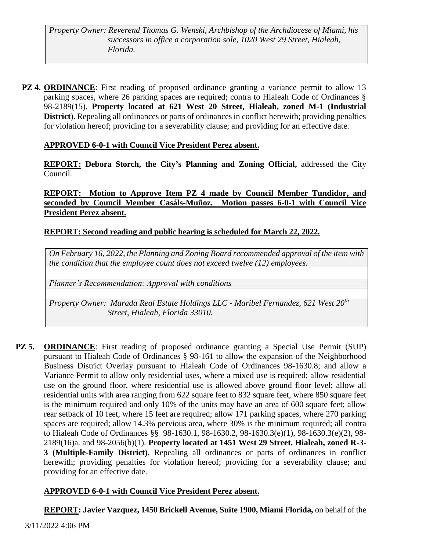*Property Owner: Reverend Thomas G. Wenski, Archbishop of the Archdiocese of Miami, his successors in office a corporation sole, 1020 West 29 Street, Hialeah, Florida.*

**PZ 4. ORDINANCE**: First reading of proposed ordinance granting a variance permit to allow 13 parking spaces, where 26 parking spaces are required; contra to Hialeah Code of Ordinances § 98-2189(15). **Property located at 621 West 20 Street, Hialeah, zoned M-1 (Industrial District**). Repealing all ordinances or parts of ordinances in conflict herewith; providing penalties for violation hereof; providing for a severability clause; and providing for an effective date.

# **APPROVED 6-0-1 with Council Vice President Perez absent.**

**REPORT: Debora Storch, the City's Planning and Zoning Official,** addressed the City Council.

**REPORT: Motion to Approve Item PZ 4 made by Council Member Tundidor, and seconded by Council Member Casáls-Muñoz. Motion passes 6-0-1 with Council Vice President Perez absent.**

# **REPORT: Second reading and public hearing is scheduled for March 22, 2022.**

*On February 16, 2022, the Planning and Zoning Board recommended approval of the item with the condition that the employee count does not exceed twelve (12) employees.*

*Planner's Recommendation: Approval with conditions*

*Property Owner: Marada Real Estate Holdings LLC - Maribel Fernandez, 621 West 20th Street, Hialeah, Florida 33010.*

**PZ 5. ORDINANCE**: First reading of proposed ordinance granting a Special Use Permit (SUP) pursuant to Hialeah Code of Ordinances § 98-161 to allow the expansion of the Neighborhood Business District Overlay pursuant to Hialeah Code of Ordinances 98-1630.8; and allow a Variance Permit to allow only residential uses, where a mixed use is required; allow residential use on the ground floor, where residential use is allowed above ground floor level; allow all residential units with area ranging from 622 square feet to 832 square feet, where 850 square feet is the minimum required and only 10% of the units may have an area of 600 square feet; allow rear setback of 10 feet, where 15 feet are required; allow 171 parking spaces, where 270 parking spaces are required; allow 14.3% pervious area, where 30% is the minimum required; all contra to Hialeah Code of Ordinances §§ 98-1630.1, 98-1630.2, 98-1630.3(e)(1), 98-1630.3(e)(2), 98- 2189(16)a. and 98-2056(b)(1). **Property located at 1451 West 29 Street, Hialeah, zoned R-3- 3 (Multiple-Family District).** Repealing all ordinances or parts of ordinances in conflict herewith; providing penalties for violation hereof; providing for a severability clause; and providing for an effective date.

# **APPROVED 6-0-1 with Council Vice President Perez absent.**

**REPORT: Javier Vazquez, 1450 Brickell Avenue, Suite 1900, Miami Florida,** on behalf of the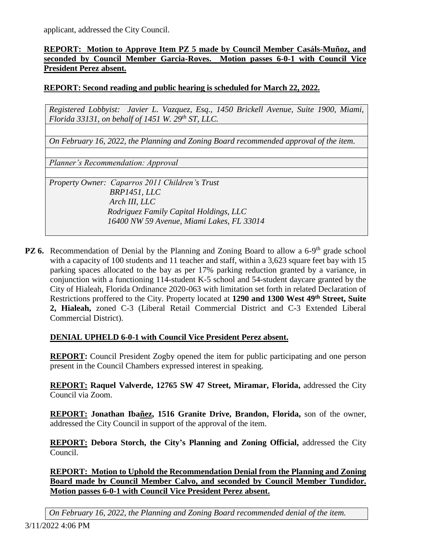applicant, addressed the City Council.

## **REPORT: Motion to Approve Item PZ 5 made by Council Member Casáls-Muñoz, and seconded by Council Member Garcia-Roves. Motion passes 6-0-1 with Council Vice President Perez absent.**

# **REPORT: Second reading and public hearing is scheduled for March 22, 2022.**

*Registered Lobbyist: Javier L. Vazquez, Esq., 1450 Brickell Avenue, Suite 1900, Miami, Florida 33131, on behalf of 1451 W. 29th ST, LLC.* 

*On February 16, 2022, the Planning and Zoning Board recommended approval of the item.*

*Planner's Recommendation: Approval*

*Property Owner: Caparros 2011 Children's Trust BRP1451, LLC Arch III, LLC Rodriguez Family Capital Holdings, LLC 16400 NW 59 Avenue, Miami Lakes, FL 33014*

**PZ 6.** Recommendation of Denial by the Planning and Zoning Board to allow a 6-9<sup>th</sup> grade school with a capacity of 100 students and 11 teacher and staff, within a 3,623 square feet bay with 15 parking spaces allocated to the bay as per 17% parking reduction granted by a variance, in conjunction with a functioning 114-student K-5 school and 54-student daycare granted by the City of Hialeah, Florida Ordinance 2020-063 with limitation set forth in related Declaration of Restrictions proffered to the City. Property located at **1290 and 1300 West 49th Street, Suite 2, Hialeah,** zoned C-3 (Liberal Retail Commercial District and C-3 Extended Liberal Commercial District).

#### **DENIAL UPHELD 6-0-1 with Council Vice President Perez absent.**

**REPORT:** Council President Zogby opened the item for public participating and one person present in the Council Chambers expressed interest in speaking.

**REPORT: Raquel Valverde, 12765 SW 47 Street, Miramar, Florida,** addressed the City Council via Zoom.

**REPORT: Jonathan Ibañez, 1516 Granite Drive, Brandon, Florida,** son of the owner, addressed the City Council in support of the approval of the item.

**REPORT: Debora Storch, the City's Planning and Zoning Official,** addressed the City Council.

**REPORT: Motion to Uphold the Recommendation Denial from the Planning and Zoning Board made by Council Member Calvo, and seconded by Council Member Tundidor. Motion passes 6-0-1 with Council Vice President Perez absent.**

*On February 16, 2022, the Planning and Zoning Board recommended denial of the item.*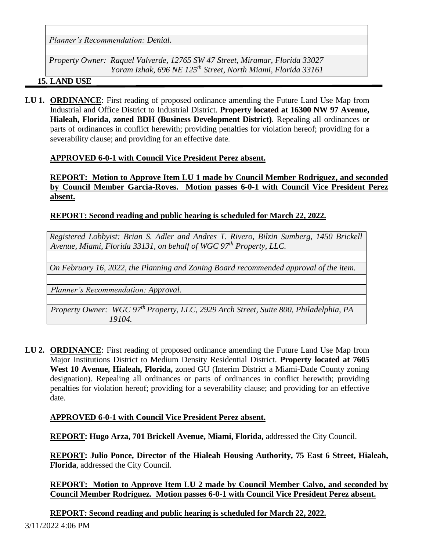*Planner's Recommendation: Denial.*

*Property Owner: Raquel Valverde, 12765 SW 47 Street, Miramar, Florida 33027 Yoram Izhak, 696 NE 125th Street, North Miami, Florida 33161*

#### **15. LAND USE**

**LU 1. ORDINANCE**: First reading of proposed ordinance amending the Future Land Use Map from Industrial and Office District to Industrial District. **Property located at 16300 NW 97 Avenue, Hialeah, Florida, zoned BDH (Business Development District)**. Repealing all ordinances or parts of ordinances in conflict herewith; providing penalties for violation hereof; providing for a severability clause; and providing for an effective date.

## **APPROVED 6-0-1 with Council Vice President Perez absent.**

**REPORT: Motion to Approve Item LU 1 made by Council Member Rodriguez, and seconded by Council Member Garcia-Roves. Motion passes 6-0-1 with Council Vice President Perez absent.**

#### **REPORT: Second reading and public hearing is scheduled for March 22, 2022.**

*Registered Lobbyist: Brian S. Adler and Andres T. Rivero, Bilzin Sumberg, 1450 Brickell Avenue, Miami, Florida 33131, on behalf of WGC 97th Property, LLC.*

*On February 16, 2022, the Planning and Zoning Board recommended approval of the item.*

*Planner's Recommendation: Approval.*

*Property Owner: WGC 97th Property, LLC, 2929 Arch Street, Suite 800, Philadelphia, PA 19104.*

**LU 2. ORDINANCE**: First reading of proposed ordinance amending the Future Land Use Map from Major Institutions District to Medium Density Residential District. **Property located at 7605 West 10 Avenue, Hialeah, Florida,** zoned GU (Interim District a Miami-Dade County zoning designation). Repealing all ordinances or parts of ordinances in conflict herewith; providing penalties for violation hereof; providing for a severability clause; and providing for an effective date.

#### **APPROVED 6-0-1 with Council Vice President Perez absent.**

**REPORT: Hugo Arza, 701 Brickell Avenue, Miami, Florida,** addressed the City Council.

**REPORT: Julio Ponce, Director of the Hialeah Housing Authority, 75 East 6 Street, Hialeah, Florida**, addressed the City Council.

**REPORT: Motion to Approve Item LU 2 made by Council Member Calvo, and seconded by Council Member Rodriguez. Motion passes 6-0-1 with Council Vice President Perez absent.**

**REPORT: Second reading and public hearing is scheduled for March 22, 2022.**